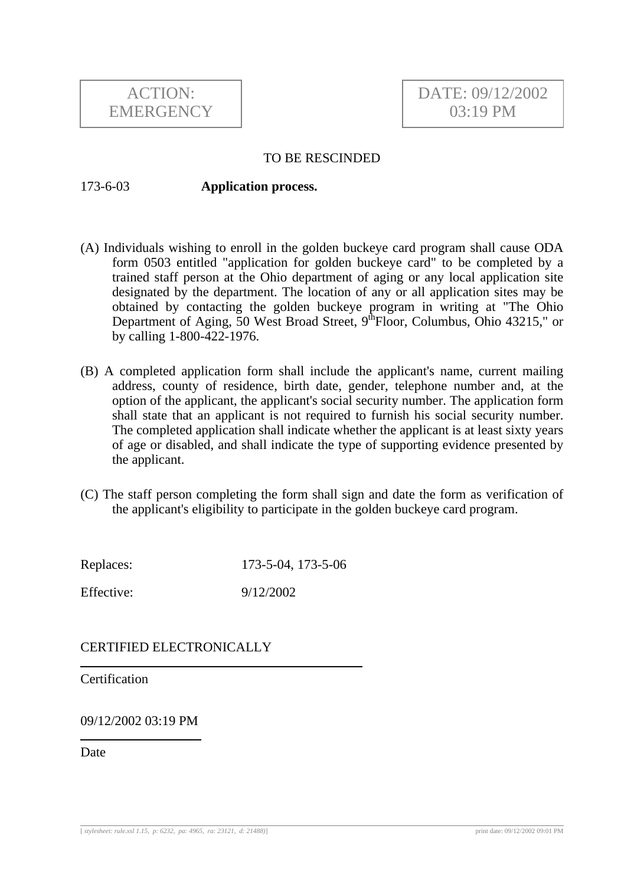

## TO BE RESCINDED

## 173-6-03 **Application process.**

- (A) Individuals wishing to enroll in the golden buckeye card program shall cause ODA form 0503 entitled "application for golden buckeye card" to be completed by a trained staff person at the Ohio department of aging or any local application site designated by the department. The location of any or all application sites may be obtained by contacting the golden buckeye program in writing at "The Ohio Department of Aging, 50 West Broad Street, 9<sup>th</sup>Floor, Columbus, Ohio 43215," or by calling 1-800-422-1976.
- (B) A completed application form shall include the applicant's name, current mailing address, county of residence, birth date, gender, telephone number and, at the option of the applicant, the applicant's social security number. The application form shall state that an applicant is not required to furnish his social security number. The completed application shall indicate whether the applicant is at least sixty years of age or disabled, and shall indicate the type of supporting evidence presented by the applicant.
- (C) The staff person completing the form shall sign and date the form as verification of the applicant's eligibility to participate in the golden buckeye card program.

Replaces: 173-5-04, 173-5-06 Effective: 9/12/2002

CERTIFIED ELECTRONICALLY

**Certification** 

09/12/2002 03:19 PM

**Date**